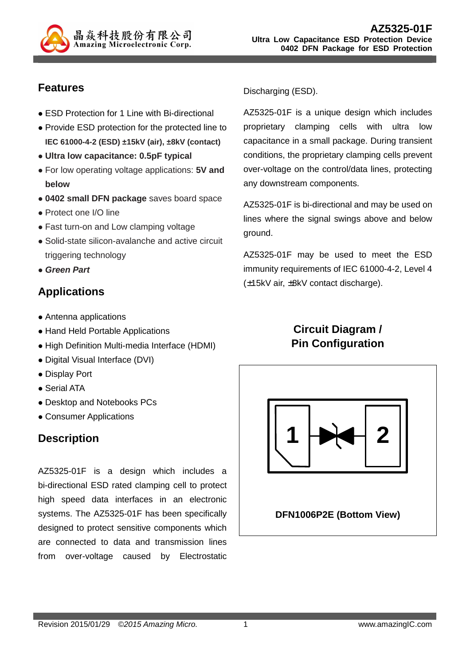

## **Features**

- ESD Protection for 1 Line with Bi-directional
- Provide ESD protection for the protected line to **IEC 61000-4-2 (ESD) ±15kV (air), ±8kV (contact)**
- **Ultra low capacitance: 0.5pF typical**
- For low operating voltage applications: **5V and below**
- **0402 small DFN package** saves board space
- Protect one I/O line
- Fast turn-on and Low clamping voltage
- Solid-state silicon-avalanche and active circuit triggering technology
- **Green Part**

# **Applications**

- Antenna applications
- Hand Held Portable Applications
- High Definition Multi-media Interface (HDMI)
- Digital Visual Interface (DVI)
- Display Port
- Serial ATA
- Desktop and Notebooks PCs
- Consumer Applications

# **Description**

AZ5325-01F is a design which includes a bi-directional ESD rated clamping cell to protect high speed data interfaces in an electronic systems. The AZ5325-01F has been specifically designed to protect sensitive components which are connected to data and transmission lines from over-voltage caused by Electrostatic

Discharging (ESD).

AZ5325-01F is a unique design which includes proprietary clamping cells with ultra low capacitance in a small package. During transient conditions, the proprietary clamping cells prevent over-voltage on the control/data lines, protecting any downstream components.

AZ5325-01F is bi-directional and may be used on lines where the signal swings above and below ground.

AZ5325-01F may be used to meet the ESD immunity requirements of IEC 61000-4-2, Level 4 (±15kV air, ±8kV contact discharge).

# **Circuit Diagram / Pin Configuration**

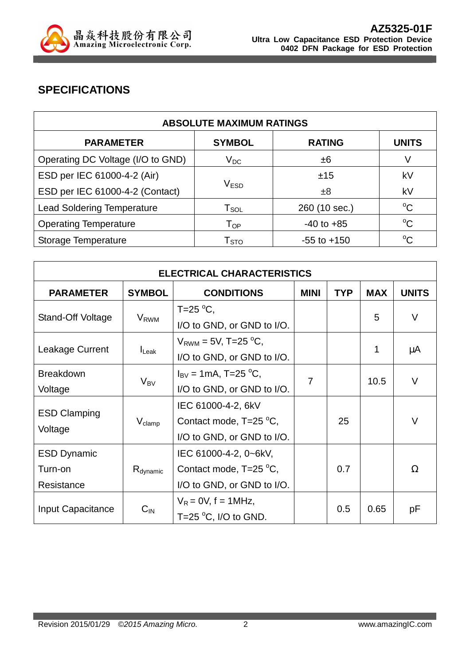

# **SPECIFICATIONS**

| <b>ABSOLUTE MAXIMUM RATINGS</b>   |                             |                 |              |  |
|-----------------------------------|-----------------------------|-----------------|--------------|--|
| <b>PARAMETER</b>                  | <b>SYMBOL</b>               | <b>RATING</b>   | <b>UNITS</b> |  |
| Operating DC Voltage (I/O to GND) | $V_{DC}$                    | ±6              | V            |  |
| ESD per IEC 61000-4-2 (Air)       |                             | ±15             | kV           |  |
| ESD per IEC 61000-4-2 (Contact)   | V <sub>FSD</sub>            | ±8              | kV           |  |
| <b>Lead Soldering Temperature</b> | $\mathsf{T}_{\mathsf{SOL}}$ | 260 (10 sec.)   | $^{\circ}C$  |  |
| <b>Operating Temperature</b>      | $T_{OP}$                    | $-40$ to $+85$  | $^{\circ}C$  |  |
| Storage Temperature               | $\mathsf{T}_{\text{STO}}$   | $-55$ to $+150$ | $^{\circ}C$  |  |

| <b>ELECTRICAL CHARACTERISTICS</b>           |                        |                                                                               |             |            |            |              |
|---------------------------------------------|------------------------|-------------------------------------------------------------------------------|-------------|------------|------------|--------------|
| <b>PARAMETER</b>                            | <b>SYMBOL</b>          | <b>CONDITIONS</b>                                                             | <b>MINI</b> | <b>TYP</b> | <b>MAX</b> | <b>UNITS</b> |
| Stand-Off Voltage                           | <b>V<sub>RWM</sub></b> | $T = 25$ °C.<br>I/O to GND, or GND to I/O.                                    |             |            | 5          | $\vee$       |
| Leakage Current                             | $I_{\mathsf{Leak}}$    | $V_{RWM}$ = 5V, T=25 <sup>o</sup> C,<br>I/O to GND, or GND to I/O.            |             |            | 1          | μA           |
| <b>Breakdown</b><br>Voltage                 | $V_{BV}$               | $I_{\rm BV}$ = 1mA, T=25 <sup>o</sup> C,<br>I/O to GND, or GND to I/O.        | 7           |            | 10.5       | $\vee$       |
| <b>ESD Clamping</b><br>Voltage              | $V_{\text{clamp}}$     | IEC 61000-4-2, 6kV<br>Contact mode, $T=25$ °C,<br>I/O to GND, or GND to I/O.  |             | 25         |            | $\vee$       |
| <b>ESD Dynamic</b><br>Turn-on<br>Resistance | R <sub>dynamic</sub>   | IEC 61000-4-2, 0~6kV,<br>Contact mode, T=25 °C,<br>I/O to GND, or GND to I/O. |             | 0.7        |            | Ω            |
| Input Capacitance                           | $C_{IN}$               | $V_R = 0V$ , f = 1MHz,<br>T=25 $\mathrm{^{\circ}C}$ , I/O to GND.             |             | 0.5        | 0.65       | pF           |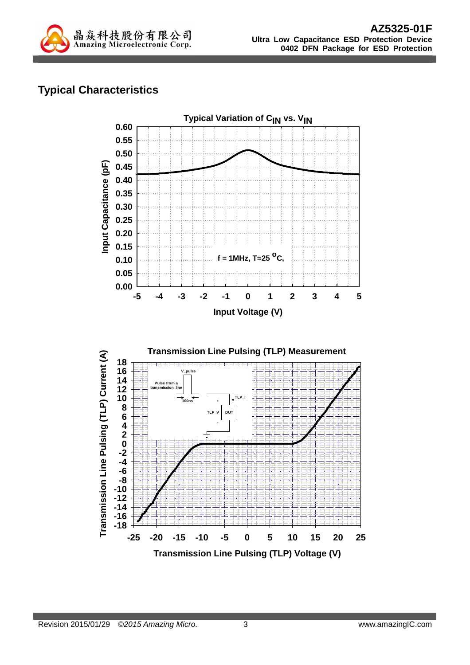

# **Typical Characteristics**

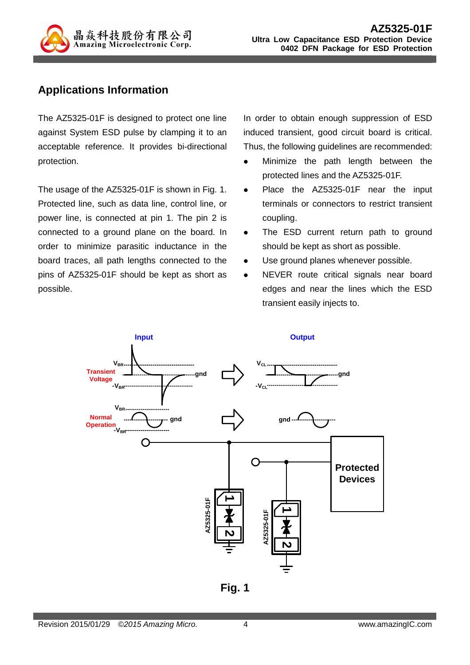

### **Applications Information**

The AZ5325-01F is designed to protect one line against System ESD pulse by clamping it to an acceptable reference. It provides bi-directional protection.

The usage of the AZ5325-01F is shown in Fig. 1. Protected line, such as data line, control line, or power line, is connected at pin 1. The pin 2 is connected to a ground plane on the board. In order to minimize parasitic inductance in the board traces, all path lengths connected to the pins of AZ5325-01F should be kept as short as possible.

In order to obtain enough suppression of ESD induced transient, good circuit board is critical. Thus, the following guidelines are recommended:

- Minimize the path length between the protected lines and the AZ5325-01F.
- Place the AZ5325-01F near the input terminals or connectors to restrict transient coupling.
- The ESD current return path to ground should be kept as short as possible.
- Use ground planes whenever possible.
- NEVER route critical signals near board edges and near the lines which the ESD transient easily injects to.



**Fig. 1**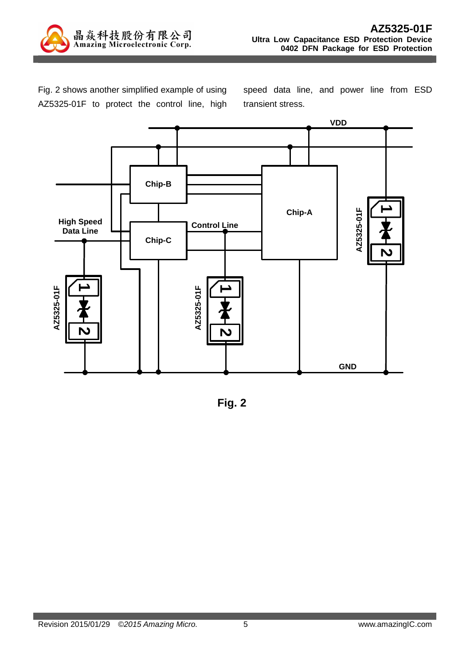

Fig. 2 shows another simplified example of using AZ5325-01F to protect the control line, high speed data line, and power line from ESD transient stress.



**Fig. 2**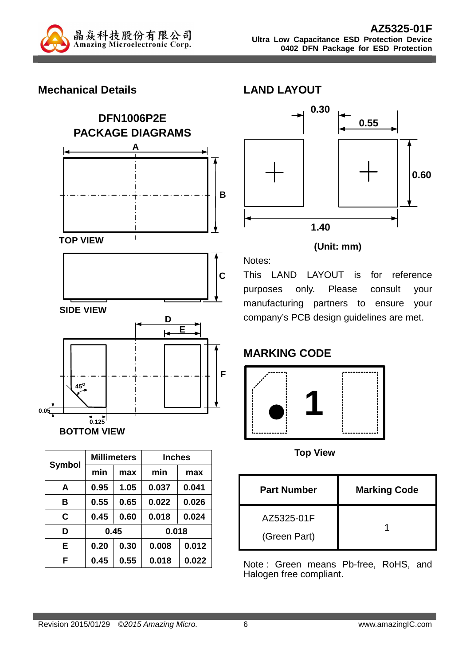

#### **Mechanical Details**



| <b>Symbol</b> |      | <b>Millimeters</b> |       | <b>Inches</b> |  |  |
|---------------|------|--------------------|-------|---------------|--|--|
|               | min  | max                | min   | max           |  |  |
| A             | 0.95 | 1.05               | 0.037 | 0.041         |  |  |
| в             | 0.55 | 0.65               | 0.022 | 0.026         |  |  |
| C             | 0.45 | 0.60               | 0.018 | 0.024         |  |  |
| D             | 0.45 |                    |       | 0.018         |  |  |
| E             | 0.20 | 0.30               | 0.008 | 0.012         |  |  |
| F             | 0.45 | 0.55               | 0.018 | 0.022         |  |  |



#### **(Unit: mm)**

This LAND LAYOUT is for reference purposes only. Please consult your manufacturing partners to ensure your company's PCB design guidelines are met.

# **MARKING CODE**

Notes:

**LAND LAYOUT** 



**Top View** 

| <b>Part Number</b>         | <b>Marking Code</b> |
|----------------------------|---------------------|
| AZ5325-01F<br>(Green Part) |                     |

Note : Green means Pb-free, RoHS, and Halogen free compliant.